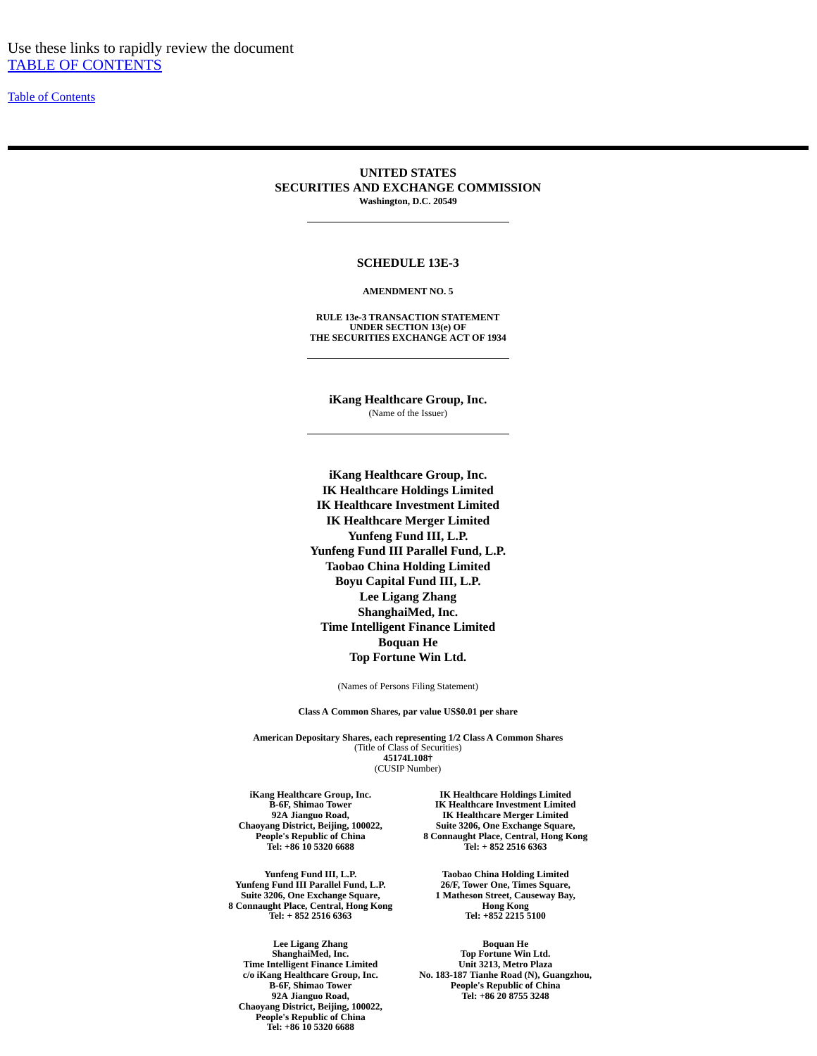[Table of Contents](#page-2-0)

#### **UNITED STATES SECURITIES AND EXCHANGE COMMISSION Washington, D.C. 20549**

#### **SCHEDULE 13E-3**

#### **AMENDMENT NO. 5**

**RULE 13e-3 TRANSACTION STATEMENT UNDER SECTION 13(e) OF THE SECURITIES EXCHANGE ACT OF 1934**

**iKang Healthcare Group, Inc.** (Name of the Issuer)

**iKang Healthcare Group, Inc. IK Healthcare Holdings Limited IK Healthcare Investment Limited IK Healthcare Merger Limited Yunfeng Fund III, L.P. Yunfeng Fund III Parallel Fund, L.P. Taobao China Holding Limited Boyu Capital Fund III, L.P. Lee Ligang Zhang ShanghaiMed, Inc. Time Intelligent Finance Limited Boquan He Top Fortune Win Ltd.**

(Names of Persons Filing Statement)

**Class A Common Shares, par value US\$0.01 per share**

**American Depositary Shares, each representing 1/2 Class A Common Shares** (Title of Class of Securities) **45174L108†** (CUSIP Number)

**iKang Healthcare Group, Inc. B-6F, Shimao Tower 92A Jianguo Road, Chaoyang District, Beijing, 100022, People's Republic of China Tel: +86 10 5320 6688**

**Yunfeng Fund III, L.P. Yunfeng Fund III Parallel Fund, L.P. Suite 3206, One Exchange Square, 8 Connaught Place, Central, Hong Kong Tel: + 852 2516 6363**

**Lee Ligang Zhang ShanghaiMed, Inc. Time Intelligent Finance Limited c/o iKang Healthcare Group, Inc. B-6F, Shimao Tower 92A Jianguo Road, Chaoyang District, Beijing, 100022, People's Republic of China Tel: +86 10 5320 6688**

**IK Healthcare Holdings Limited IK Healthcare Investment Limited IK Healthcare Merger Limited Suite 3206, One Exchange Square, 8 Connaught Place, Central, Hong Kong Tel: + 852 2516 6363**

**Taobao China Holding Limited 26/F, Tower One, Times Square, 1 Matheson Street, Causeway Bay, Hong Kong Tel: +852 2215 5100**

**Boquan He Top Fortune Win Ltd. Unit 3213, Metro Plaza No. 183-187 Tianhe Road (N), Guangzhou, People's Republic of China Tel: +86 20 8755 3248**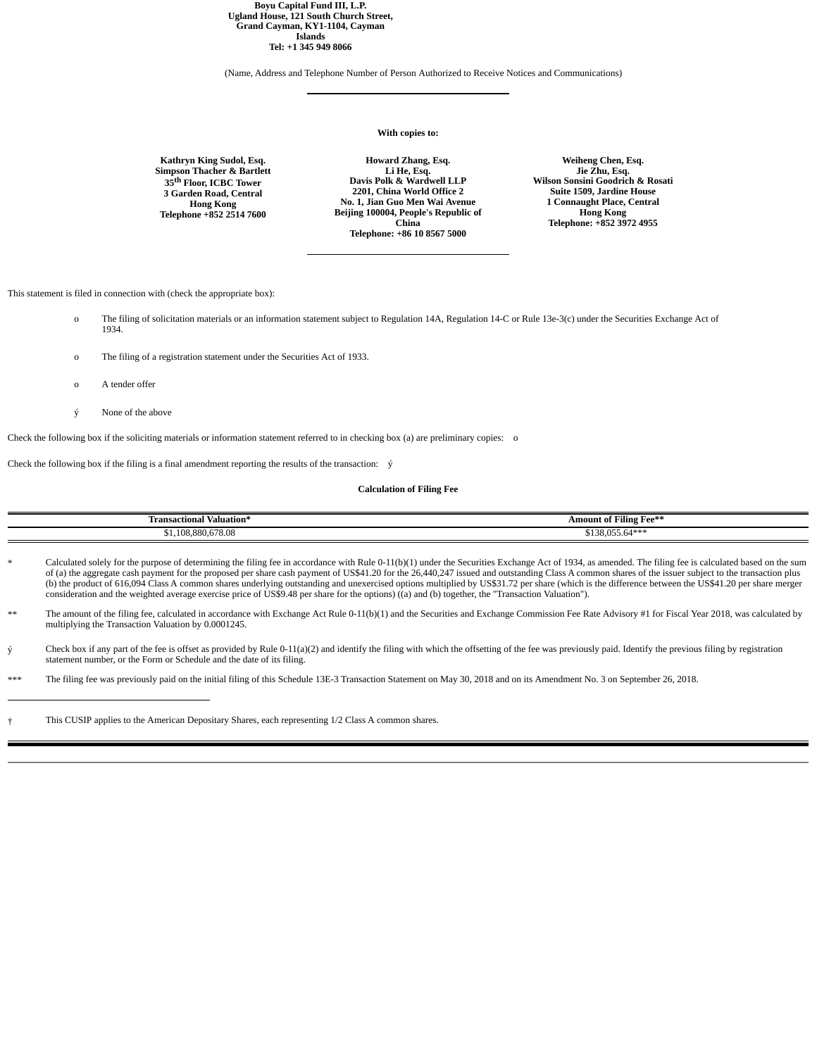**Boyu Capital Fund III, L.P. Ugland House, 121 South Church Street, Grand Cayman, KY1-1104, Cayman Islands Tel: +1 345 949 8066**

(Name, Address and Telephone Number of Person Authorized to Receive Notices and Communications)

#### **With copies to:**

**Kathryn King Sudol, Esq. Simpson Thacher & Bartlett 35th Floor, ICBC Tower 3 Garden Road, Central Hong Kong Telephone +852 2514 7600**

**Howard Zhang, Esq. Li He, Esq. Davis Polk & Wardwell LLP 2201, China World Office 2 No. 1, Jian Guo Men Wai Avenue Beijing 100004, People's Republic of China Telephone: +86 10 8567 5000**

**Weiheng Chen, Esq. Jie Zhu, Esq. Wilson Sonsini Goodrich & Rosati Suite 1509, Jardine House 1 Connaught Place, Central Hong Kong Telephone: +852 3972 4955**

This statement is filed in connection with (check the appropriate box):

- o The filing of solicitation materials or an information statement subject to Regulation 14A, Regulation 14-C or Rule 13e-3(c) under the Securities Exchange Act of 1934.
- o The filing of a registration statement under the Securities Act of 1933.
- o A tender offer
- ý None of the above

Check the following box if the soliciting materials or information statement referred to in checking box (a) are preliminary copies: o

Check the following box if the filing is a final amendment reporting the results of the transaction: ý

#### **Calculation of Filing Fee**

| l Valuation*<br>Fransactional                    | "Amount of Filing Fee*" |
|--------------------------------------------------|-------------------------|
| $\sim$ $\sim$ $\sim$<br>3.88C<br>108<br>50.8/0,U | ے ت                     |

- Calculated solely for the purpose of determining the filing fee in accordance with Rule 0-11(b)(1) under the Securities Exchange Act of 1934, as amended. The filing fee is calculated based on the sum of (a) the aggregate cash payment for the proposed per share cash payment of US\$41.20 for the 26,440,247 issued and outstanding Class A common shares of the issuer subject to the transaction plus (b) the product of 616,094 Class A common shares underlying outstanding and unexercised options multiplied by US\$31.72 per share (which is the difference between the US\$41.20 per share merger consideration and the weighted average exercise price of US\$9.48 per share for the options) ((a) and (b) together, the "Transaction Valuation").
- \*\* The amount of the filing fee, calculated in accordance with Exchange Act Rule 0-11(b)(1) and the Securities and Exchange Commission Fee Rate Advisory #1 for Fiscal Year 2018, was calculated by<br>multiplying the Transactio
- $\circ$  Check box if any part of the fee is offset as provided by Rule 0-11(a)(2) and identify the filing with which the offsetting of the fee was previously paid. Identify the previous filing by registration statement number, or the Form or Schedule and the date of its filing.
- \*\*\* The filing fee was previously paid on the initial filing of this Schedule 13E-3 Transaction Statement on May 30, 2018 and on its Amendment No. 3 on September 26, 2018.

† This CUSIP applies to the American Depositary Shares, each representing 1/2 Class A common shares.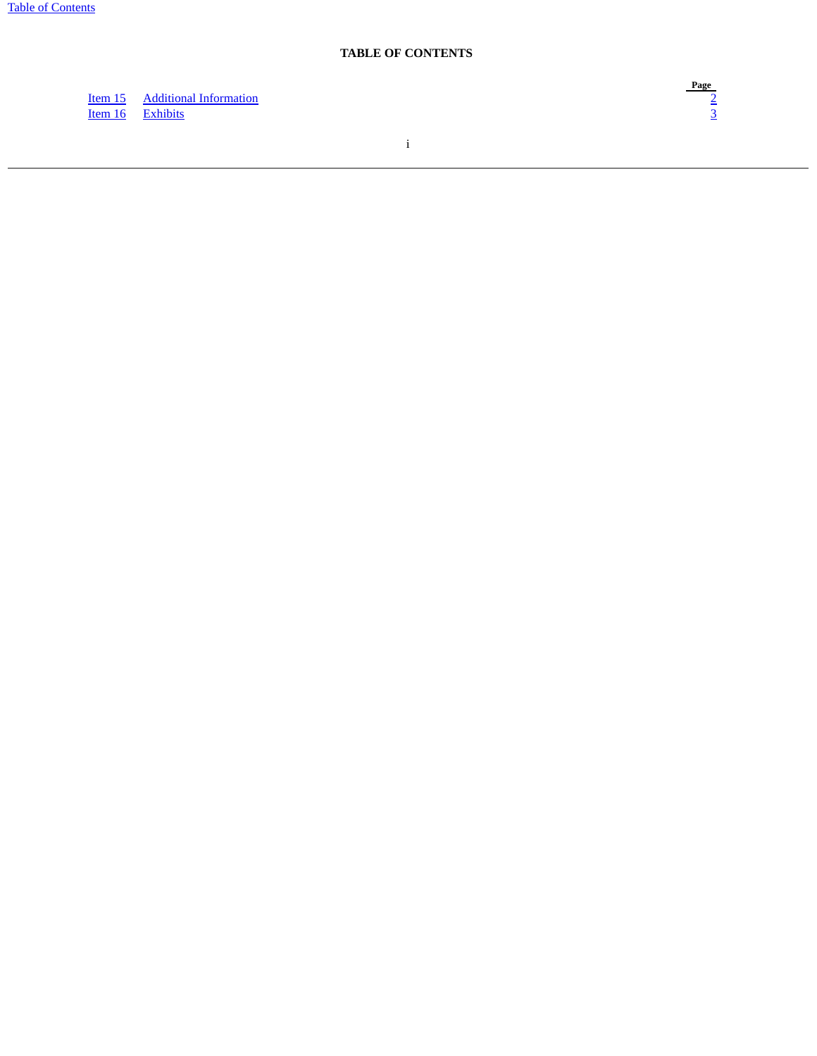### **TABLE OF CONTENTS**

<span id="page-2-0"></span>[Item 15](#page-4-0) [Additional Information](#page-4-0) [2](#page-4-0) **[Item 16](#page-5-0) [Exhibits](#page-5-0)** [3](#page-5-0)

 $\frac{\text{Page}}{2}$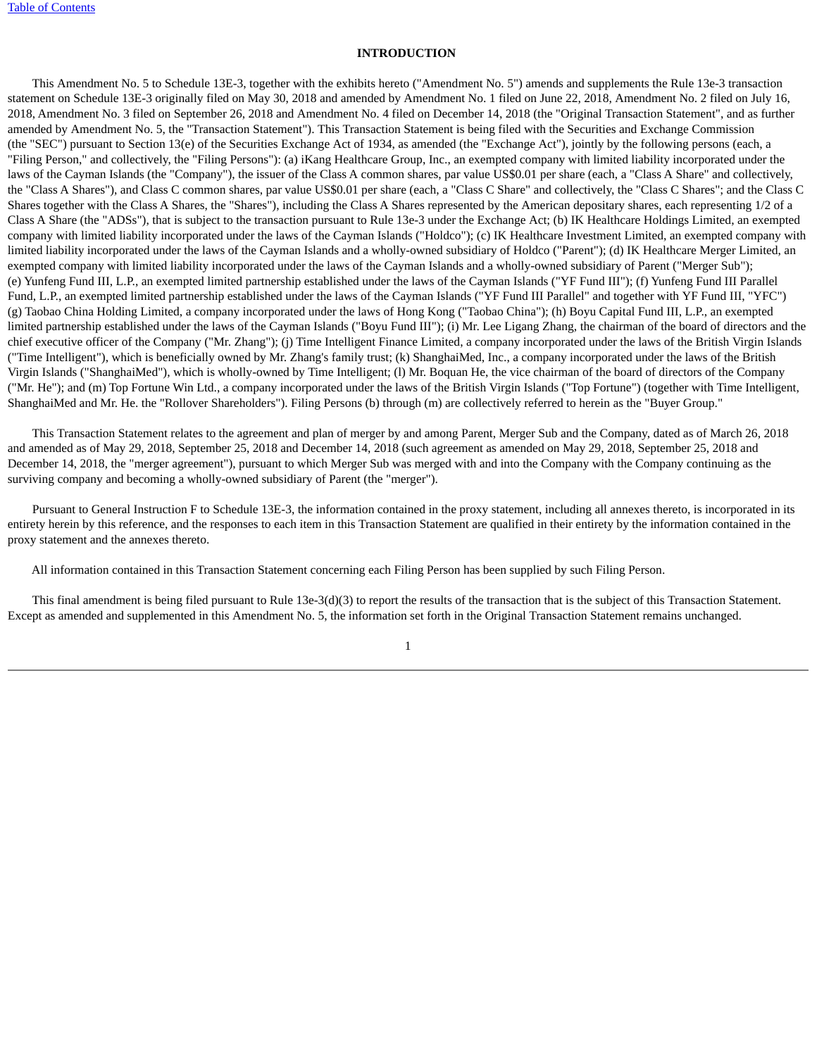### **INTRODUCTION**

 This Amendment No. 5 to Schedule 13E-3, together with the exhibits hereto ("Amendment No. 5") amends and supplements the Rule 13e-3 transaction statement on Schedule 13E-3 originally filed on May 30, 2018 and amended by Amendment No. 1 filed on June 22, 2018, Amendment No. 2 filed on July 16, 2018, Amendment No. 3 filed on September 26, 2018 and Amendment No. 4 filed on December 14, 2018 (the "Original Transaction Statement", and as further amended by Amendment No. 5, the "Transaction Statement"). This Transaction Statement is being filed with the Securities and Exchange Commission (the "SEC") pursuant to Section 13(e) of the Securities Exchange Act of 1934, as amended (the "Exchange Act"), jointly by the following persons (each, a "Filing Person," and collectively, the "Filing Persons"): (a) iKang Healthcare Group, Inc., an exempted company with limited liability incorporated under the laws of the Cayman Islands (the "Company"), the issuer of the Class A common shares, par value US\$0.01 per share (each, a "Class A Share" and collectively, the "Class A Shares"), and Class C common shares, par value US\$0.01 per share (each, a "Class C Share" and collectively, the "Class C Shares"; and the Class C Shares together with the Class A Shares, the "Shares"), including the Class A Shares represented by the American depositary shares, each representing 1/2 of a Class A Share (the "ADSs"), that is subject to the transaction pursuant to Rule 13e-3 under the Exchange Act; (b) IK Healthcare Holdings Limited, an exempted company with limited liability incorporated under the laws of the Cayman Islands ("Holdco"); (c) IK Healthcare Investment Limited, an exempted company with limited liability incorporated under the laws of the Cayman Islands and a wholly-owned subsidiary of Holdco ("Parent"); (d) IK Healthcare Merger Limited, an exempted company with limited liability incorporated under the laws of the Cayman Islands and a wholly-owned subsidiary of Parent ("Merger Sub"); (e) Yunfeng Fund III, L.P., an exempted limited partnership established under the laws of the Cayman Islands ("YF Fund III"); (f) Yunfeng Fund III Parallel Fund, L.P., an exempted limited partnership established under the laws of the Cayman Islands ("YF Fund III Parallel" and together with YF Fund III, "YFC") (g) Taobao China Holding Limited, a company incorporated under the laws of Hong Kong ("Taobao China"); (h) Boyu Capital Fund III, L.P., an exempted limited partnership established under the laws of the Cayman Islands ("Boyu Fund III"); (i) Mr. Lee Ligang Zhang, the chairman of the board of directors and the chief executive officer of the Company ("Mr. Zhang"); (j) Time Intelligent Finance Limited, a company incorporated under the laws of the British Virgin Islands ("Time Intelligent"), which is beneficially owned by Mr. Zhang's family trust; (k) ShanghaiMed, Inc., a company incorporated under the laws of the British Virgin Islands ("ShanghaiMed"), which is wholly-owned by Time Intelligent; (l) Mr. Boquan He, the vice chairman of the board of directors of the Company ("Mr. He"); and (m) Top Fortune Win Ltd., a company incorporated under the laws of the British Virgin Islands ("Top Fortune") (together with Time Intelligent, ShanghaiMed and Mr. He. the "Rollover Shareholders"). Filing Persons (b) through (m) are collectively referred to herein as the "Buyer Group."

 This Transaction Statement relates to the agreement and plan of merger by and among Parent, Merger Sub and the Company, dated as of March 26, 2018 and amended as of May 29, 2018, September 25, 2018 and December 14, 2018 (such agreement as amended on May 29, 2018, September 25, 2018 and December 14, 2018, the "merger agreement"), pursuant to which Merger Sub was merged with and into the Company with the Company continuing as the surviving company and becoming a wholly-owned subsidiary of Parent (the "merger").

 Pursuant to General Instruction F to Schedule 13E-3, the information contained in the proxy statement, including all annexes thereto, is incorporated in its entirety herein by this reference, and the responses to each item in this Transaction Statement are qualified in their entirety by the information contained in the proxy statement and the annexes thereto.

All information contained in this Transaction Statement concerning each Filing Person has been supplied by such Filing Person.

 This final amendment is being filed pursuant to Rule 13e-3(d)(3) to report the results of the transaction that is the subject of this Transaction Statement. Except as amended and supplemented in this Amendment No. 5, the information set forth in the Original Transaction Statement remains unchanged.

1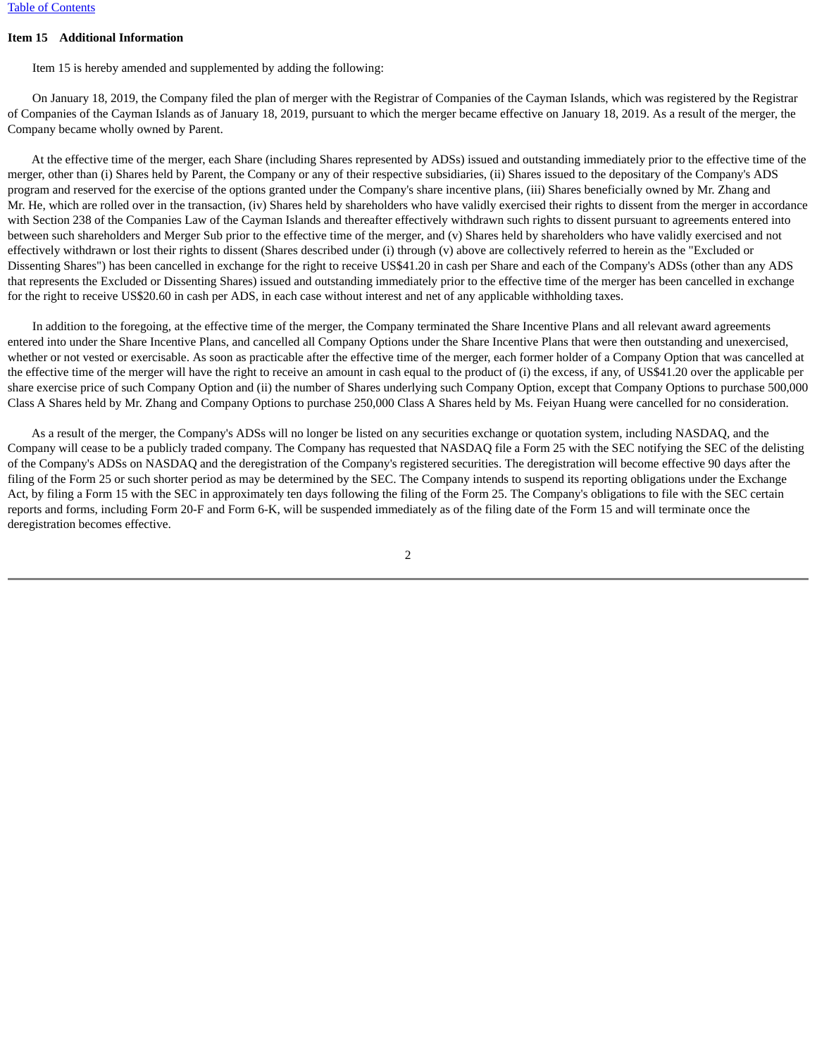### <span id="page-4-0"></span>**Item 15 Additional Information**

Item 15 is hereby amended and supplemented by adding the following:

 On January 18, 2019, the Company filed the plan of merger with the Registrar of Companies of the Cayman Islands, which was registered by the Registrar of Companies of the Cayman Islands as of January 18, 2019, pursuant to which the merger became effective on January 18, 2019. As a result of the merger, the Company became wholly owned by Parent.

 At the effective time of the merger, each Share (including Shares represented by ADSs) issued and outstanding immediately prior to the effective time of the merger, other than (i) Shares held by Parent, the Company or any of their respective subsidiaries, (ii) Shares issued to the depositary of the Company's ADS program and reserved for the exercise of the options granted under the Company's share incentive plans, (iii) Shares beneficially owned by Mr. Zhang and Mr. He, which are rolled over in the transaction, (iv) Shares held by shareholders who have validly exercised their rights to dissent from the merger in accordance with Section 238 of the Companies Law of the Cayman Islands and thereafter effectively withdrawn such rights to dissent pursuant to agreements entered into between such shareholders and Merger Sub prior to the effective time of the merger, and (v) Shares held by shareholders who have validly exercised and not effectively withdrawn or lost their rights to dissent (Shares described under (i) through (v) above are collectively referred to herein as the "Excluded or Dissenting Shares") has been cancelled in exchange for the right to receive US\$41.20 in cash per Share and each of the Company's ADSs (other than any ADS that represents the Excluded or Dissenting Shares) issued and outstanding immediately prior to the effective time of the merger has been cancelled in exchange for the right to receive US\$20.60 in cash per ADS, in each case without interest and net of any applicable withholding taxes.

 In addition to the foregoing, at the effective time of the merger, the Company terminated the Share Incentive Plans and all relevant award agreements entered into under the Share Incentive Plans, and cancelled all Company Options under the Share Incentive Plans that were then outstanding and unexercised, whether or not vested or exercisable. As soon as practicable after the effective time of the merger, each former holder of a Company Option that was cancelled at the effective time of the merger will have the right to receive an amount in cash equal to the product of (i) the excess, if any, of US\$41.20 over the applicable per share exercise price of such Company Option and (ii) the number of Shares underlying such Company Option, except that Company Options to purchase 500,000 Class A Shares held by Mr. Zhang and Company Options to purchase 250,000 Class A Shares held by Ms. Feiyan Huang were cancelled for no consideration.

 As a result of the merger, the Company's ADSs will no longer be listed on any securities exchange or quotation system, including NASDAQ, and the Company will cease to be a publicly traded company. The Company has requested that NASDAQ file a Form 25 with the SEC notifying the SEC of the delisting of the Company's ADSs on NASDAQ and the deregistration of the Company's registered securities. The deregistration will become effective 90 days after the filing of the Form 25 or such shorter period as may be determined by the SEC. The Company intends to suspend its reporting obligations under the Exchange Act, by filing a Form 15 with the SEC in approximately ten days following the filing of the Form 25. The Company's obligations to file with the SEC certain reports and forms, including Form 20-F and Form 6-K, will be suspended immediately as of the filing date of the Form 15 and will terminate once the deregistration becomes effective.

2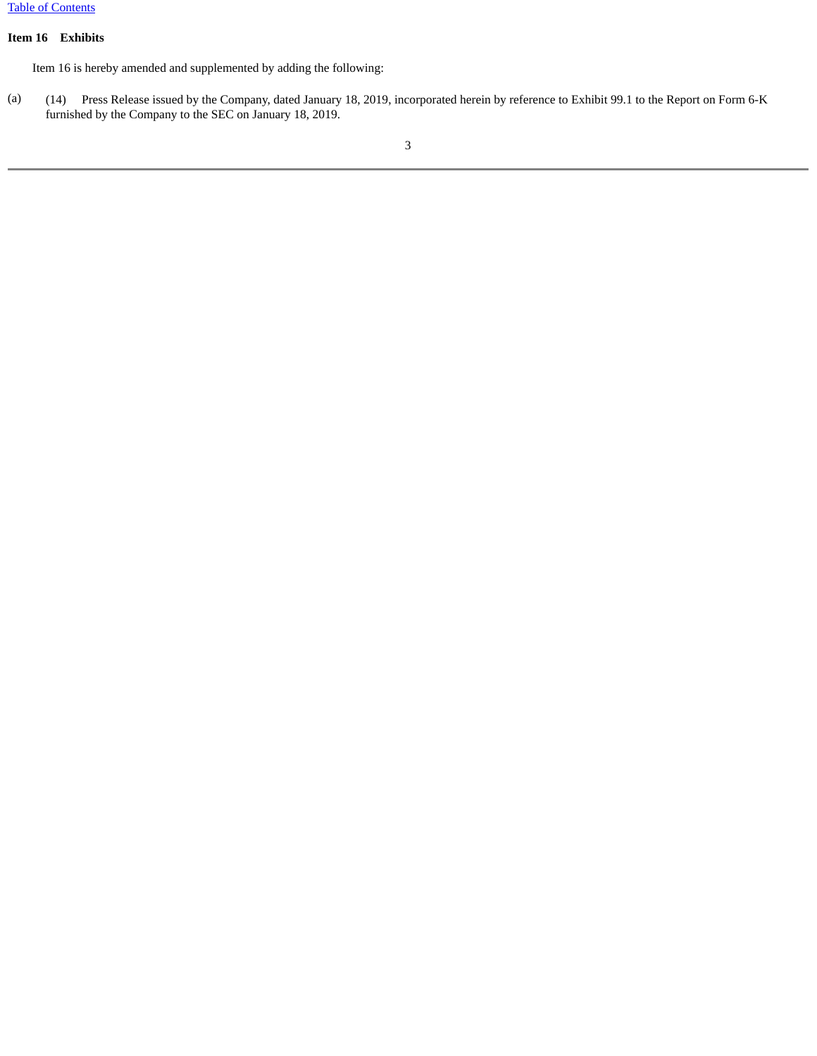### <span id="page-5-0"></span>**Item 16 Exhibits**

Item 16 is hereby amended and supplemented by adding the following:

(a) (14) Press Release issued by the Company, dated January 18, 2019, incorporated herein by reference to Exhibit 99.1 to the Report on Form 6-K furnished by the Company to the SEC on January 18, 2019.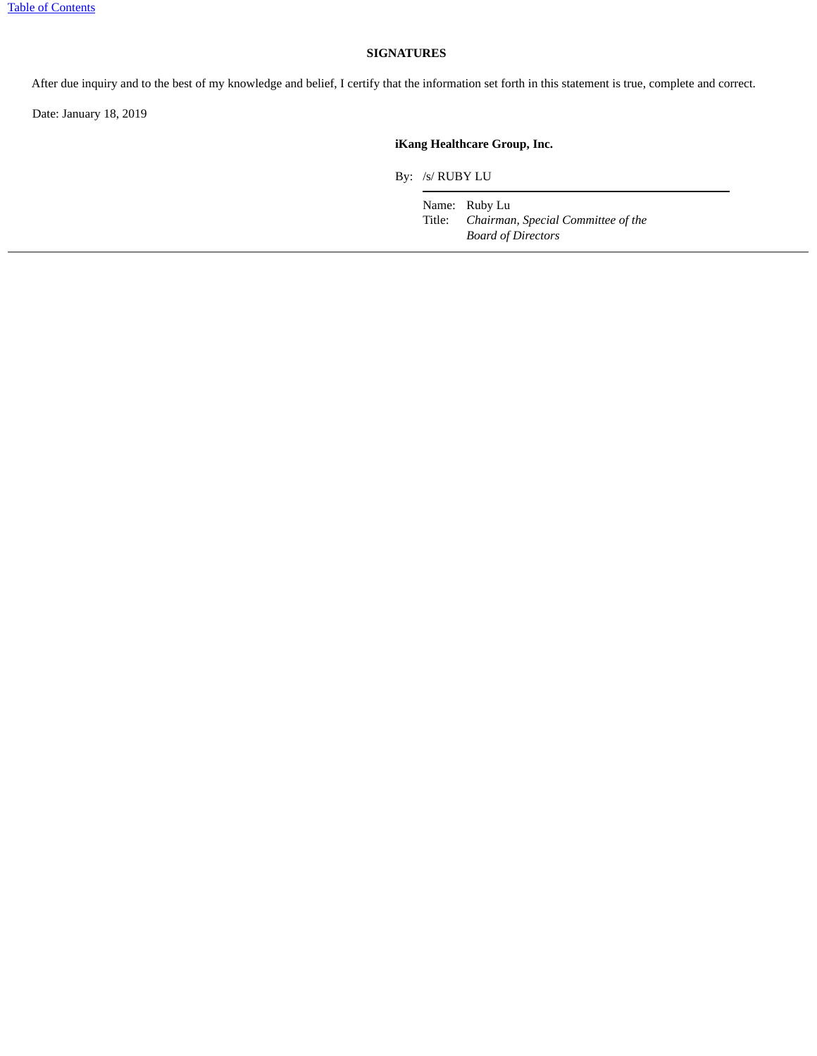### **SIGNATURES**

After due inquiry and to the best of my knowledge and belief, I certify that the information set forth in this statement is true, complete and correct.

Date: January 18, 2019

### **iKang Healthcare Group, Inc.**

By: /s/ RUBY LU

Name: Ruby Lu<br>Title: *Chairman* Chairman, Special Committee of the *Board of Directors*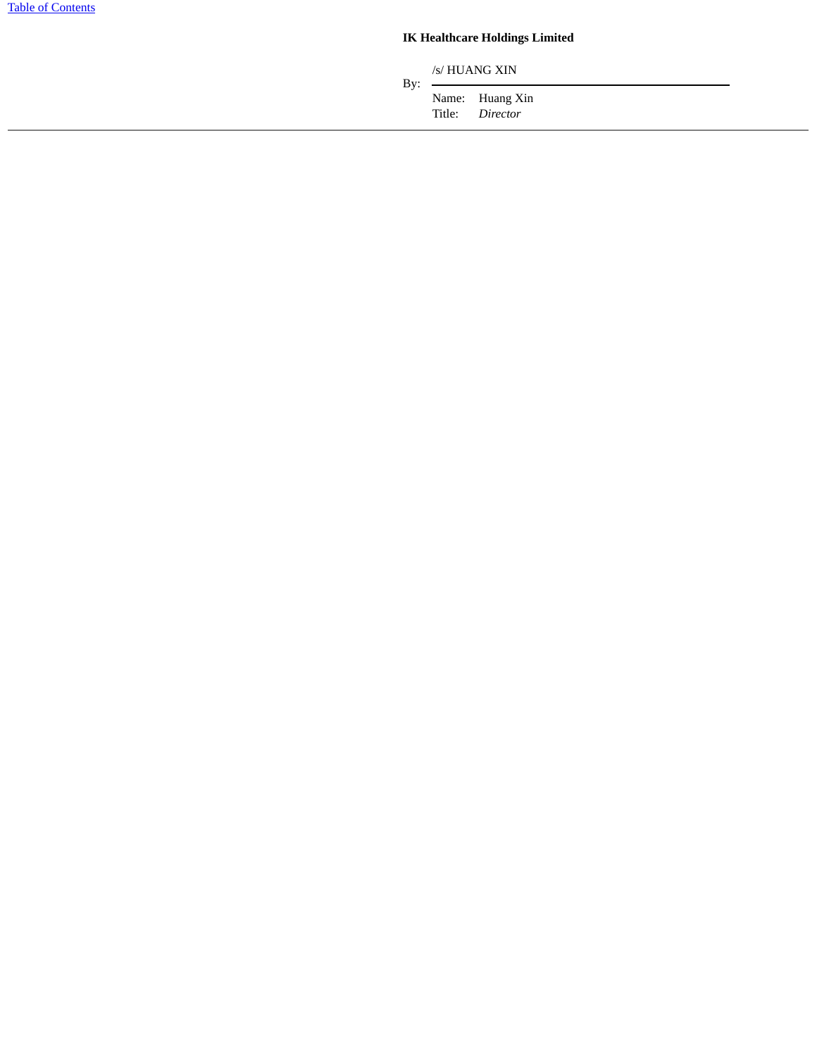## **IK Healthcare Holdings Limited**

/s/ HUANG XIN

Title: *Director*

By:  $-$ Name: Huang Xin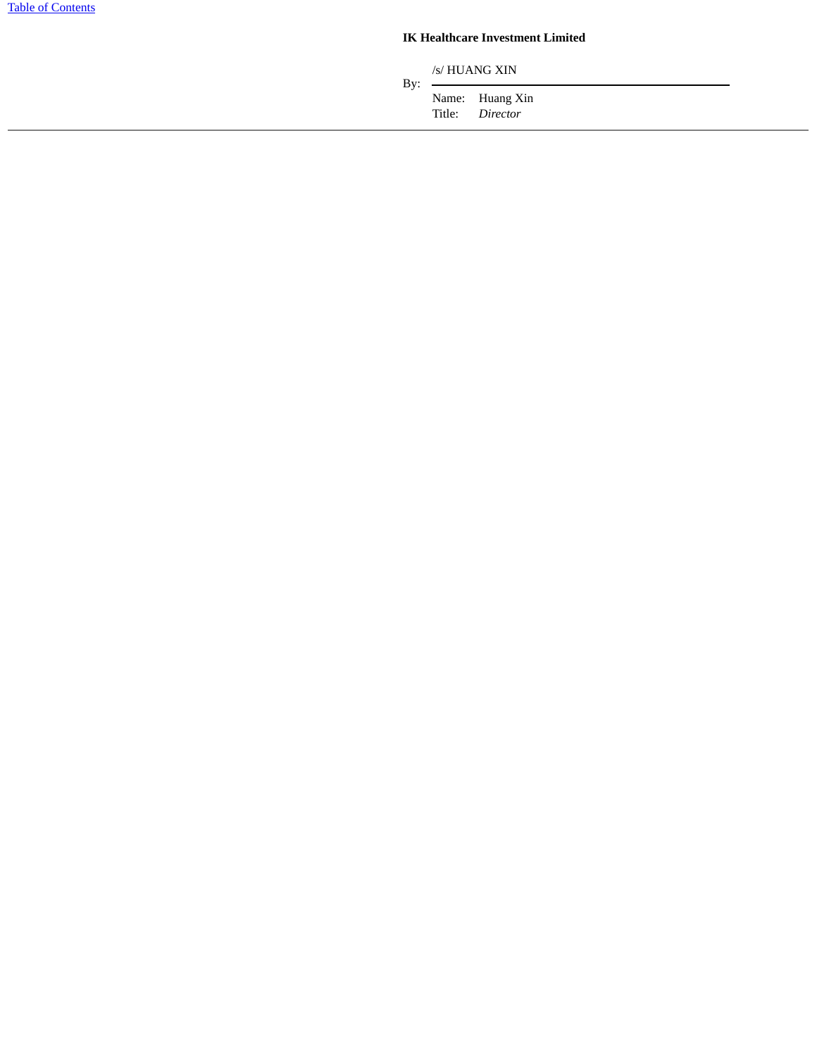### **IK Healthcare Investment Limited**

/s/ HUANG XIN

Title: *Director*

By:  $-$ Name: Huang Xin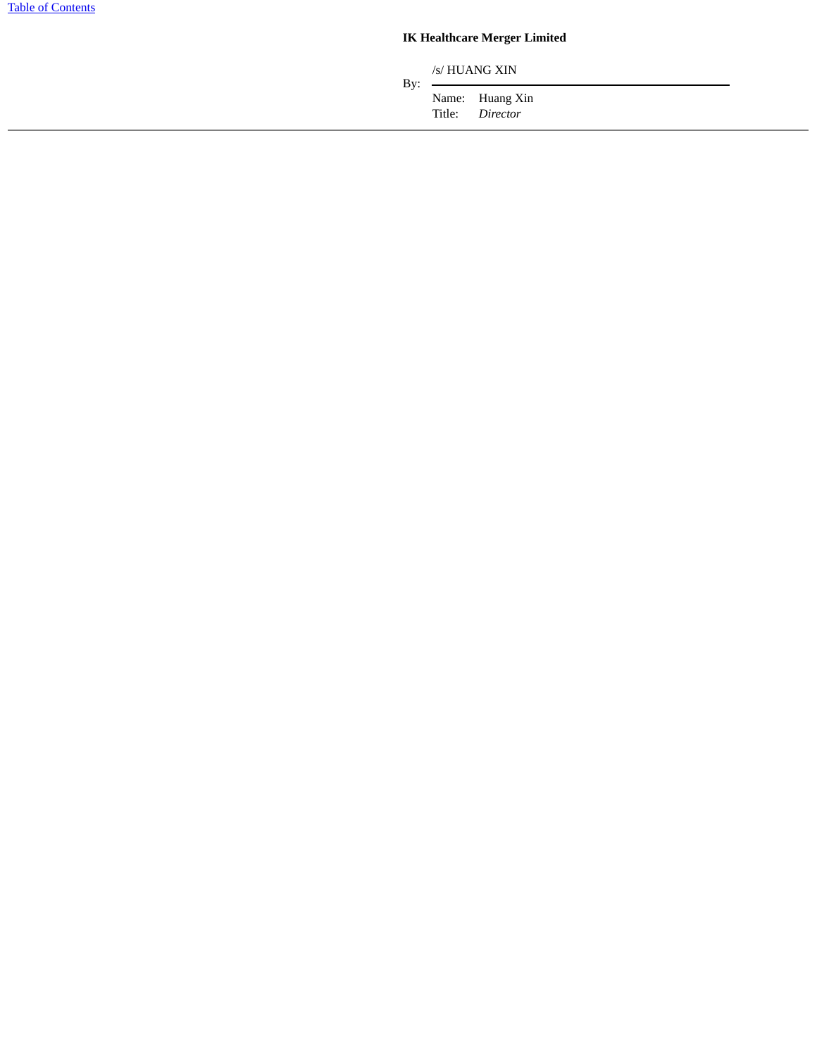## **IK Healthcare Merger Limited**

/s/ HUANG XIN

Name: Huang Xin<br>Title: *Director* Director

By:  $-$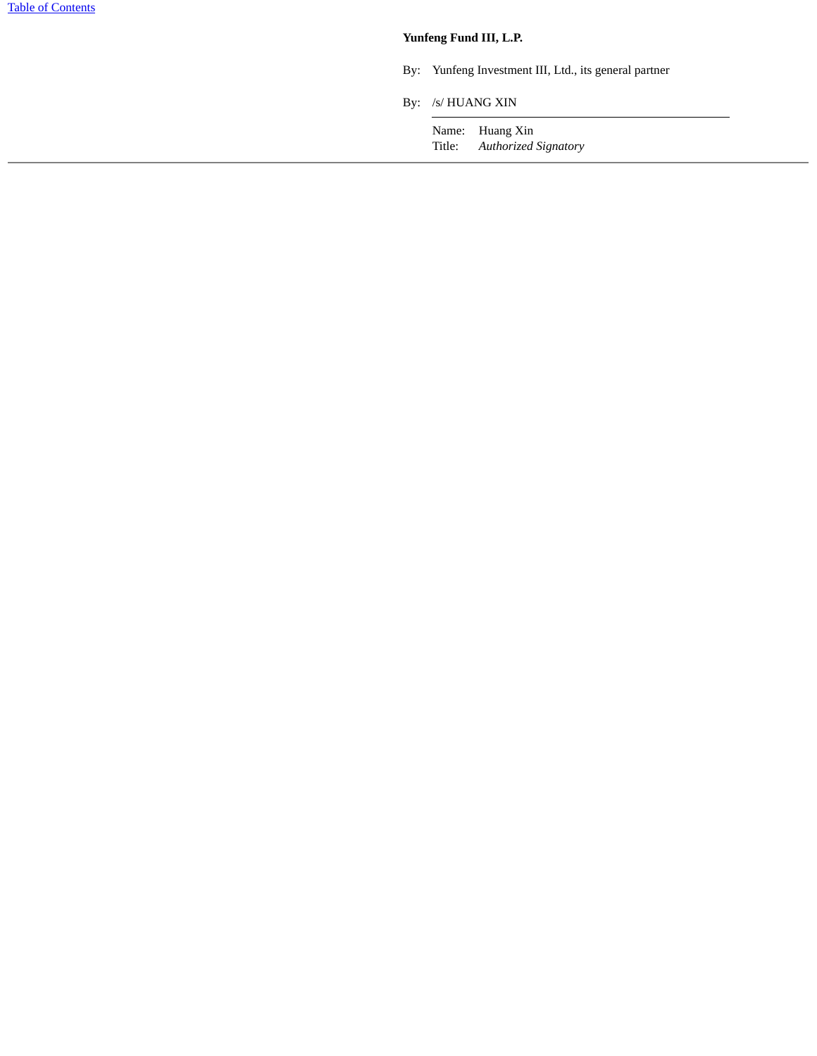## **Yunfeng Fund III, L.P.**

- By: Yunfeng Investment III, Ltd., its general partner
- By: /s/ HUANG XIN

Name: Huang Xin Title: *Authorized Signatory*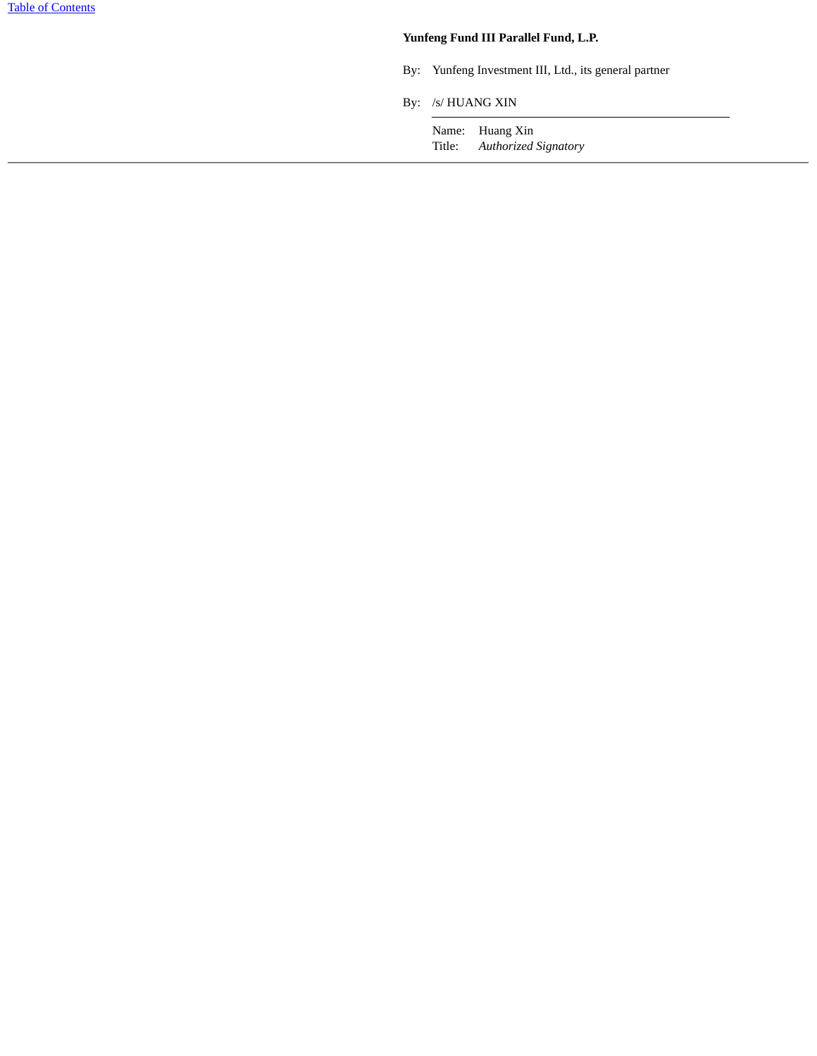## **Yunfeng Fund III Parallel Fund, L.P.**

- By: Yunfeng Investment III, Ltd., its general partner
- By: /s/ HUANG XIN

Name: Huang Xin Title: *Authorized Signatory*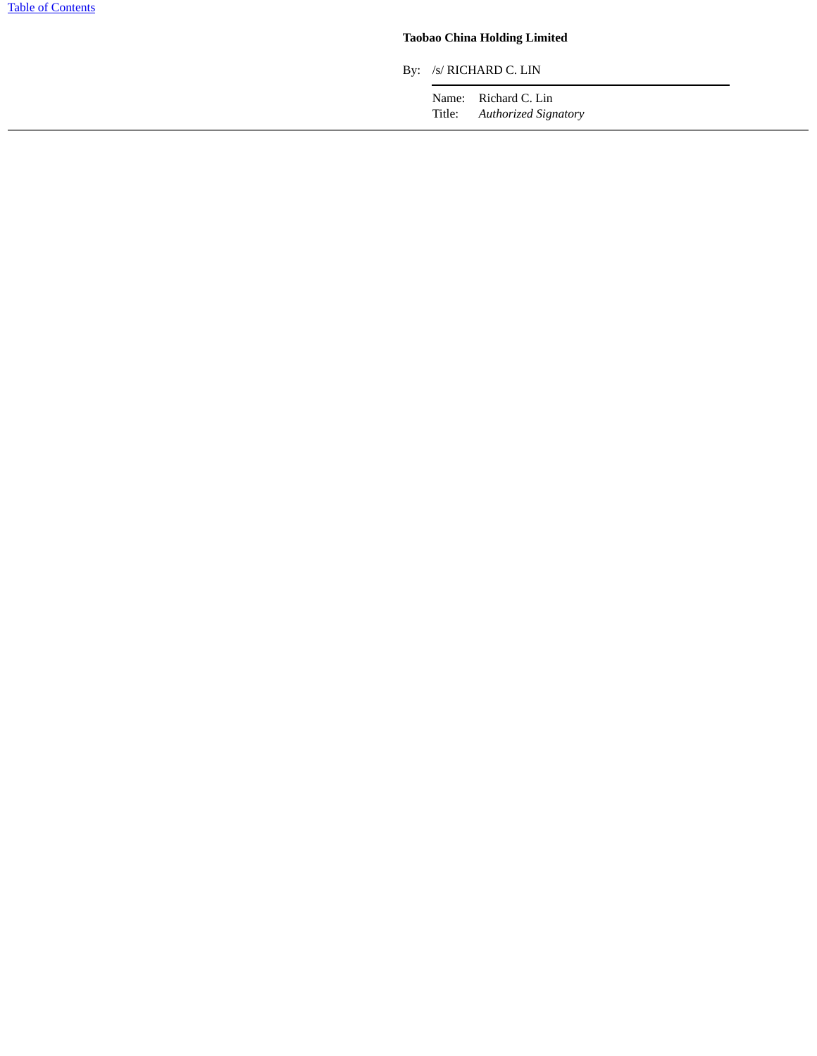## **Taobao China Holding Limited**

By: /s/ RICHARD C. LIN

Name: Richard C. Lin Title: *Authorized Signatory*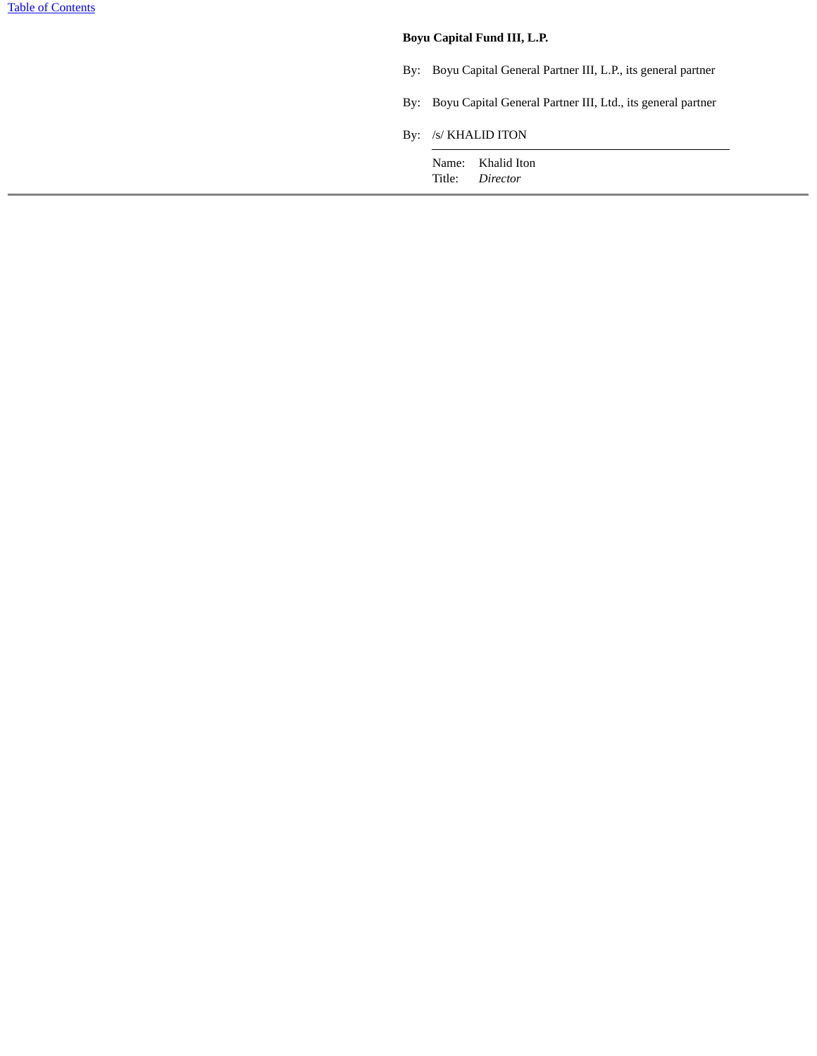### **Boyu Capital Fund III, L.P.**

- By: Boyu Capital General Partner III, L.P., its general partner
- By: Boyu Capital General Partner III, Ltd., its general partner
- By: /s/ KHALID ITON

Name: Khalid Iton Title: *Director*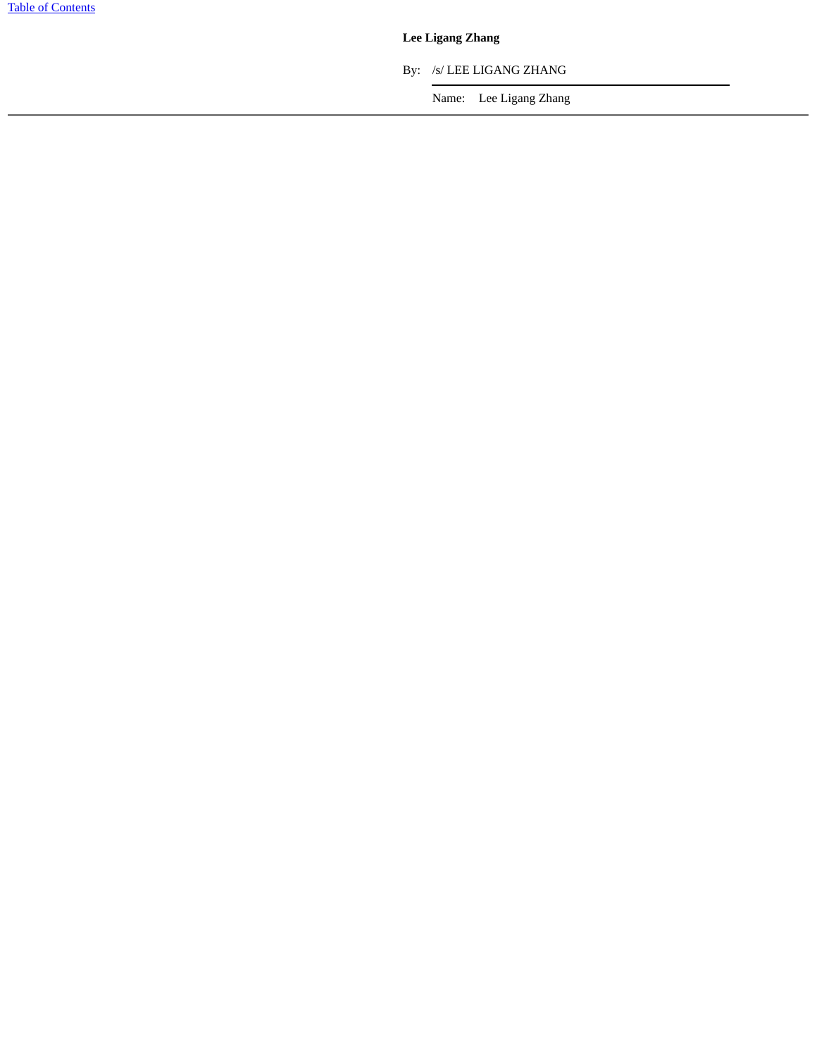## **Lee Ligang Zhang**

By: /s/ LEE LIGANG ZHANG

Name: Lee Ligang Zhang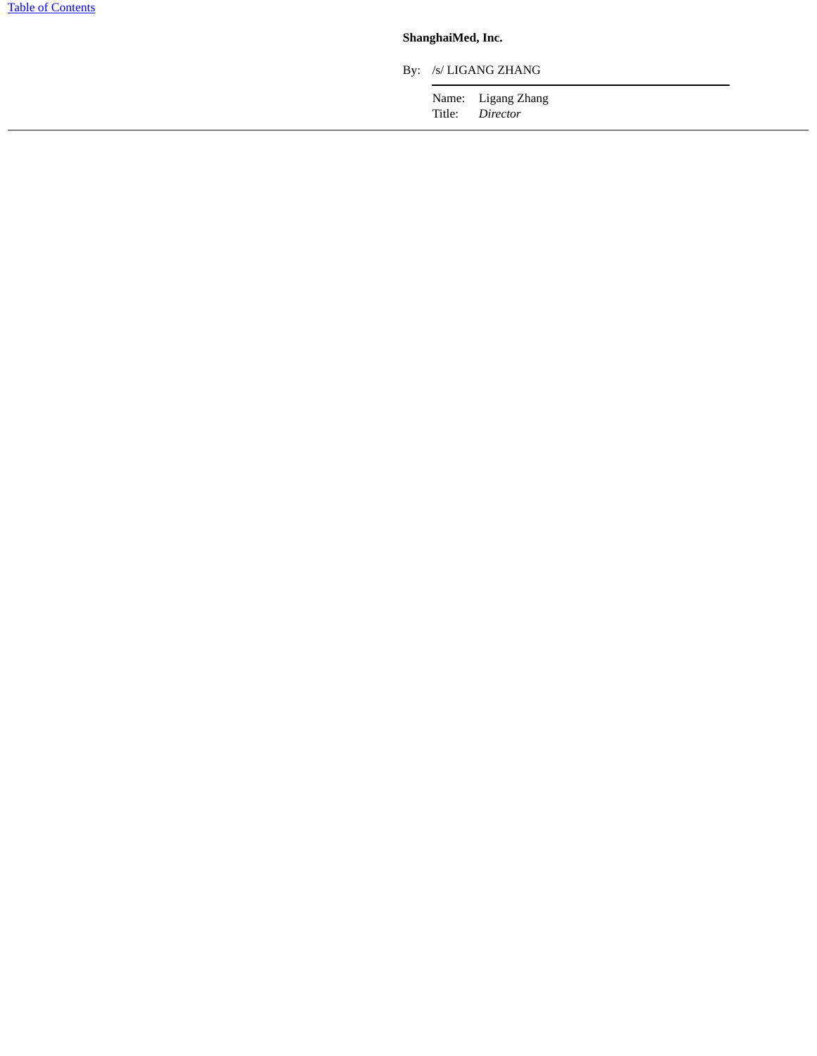## **ShanghaiMed, Inc.**

By: /s/ LIGANG ZHANG

Name: Ligang Zhang<br>Title: *Director* Director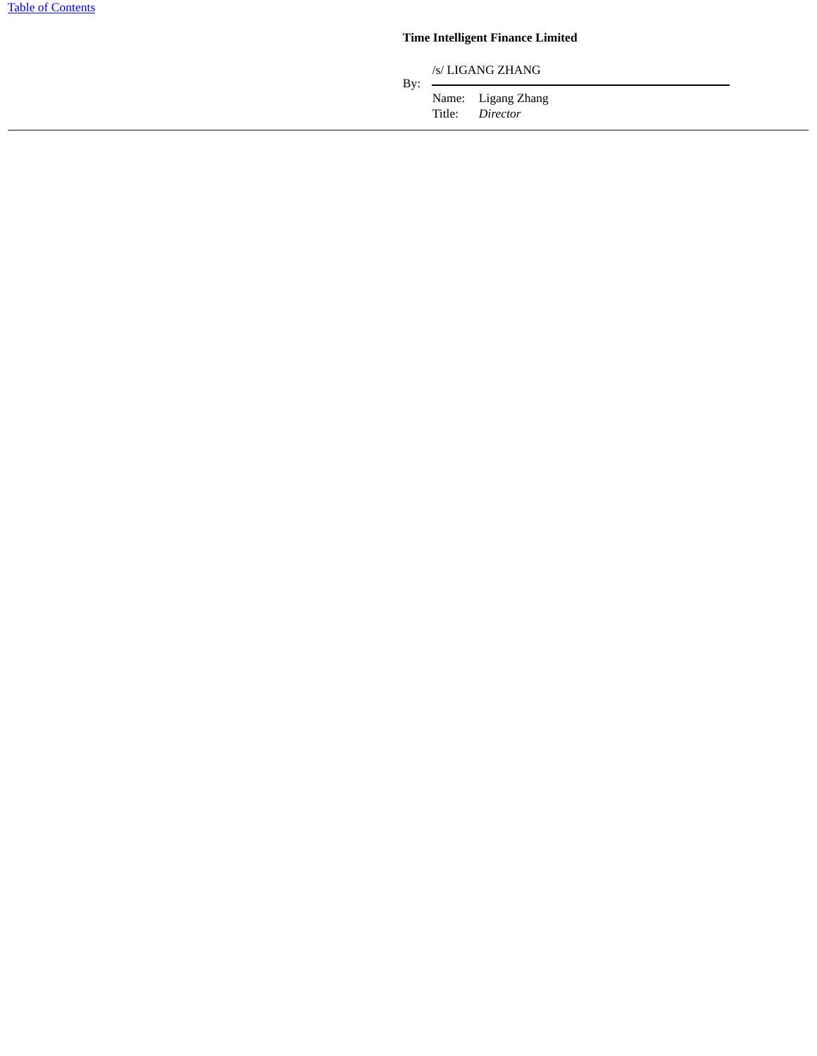# **Time Intelligent Finance Limited**

/s/ LIGANG ZHANG

Title: *Director*

 $By:$ Name: Ligang Zhang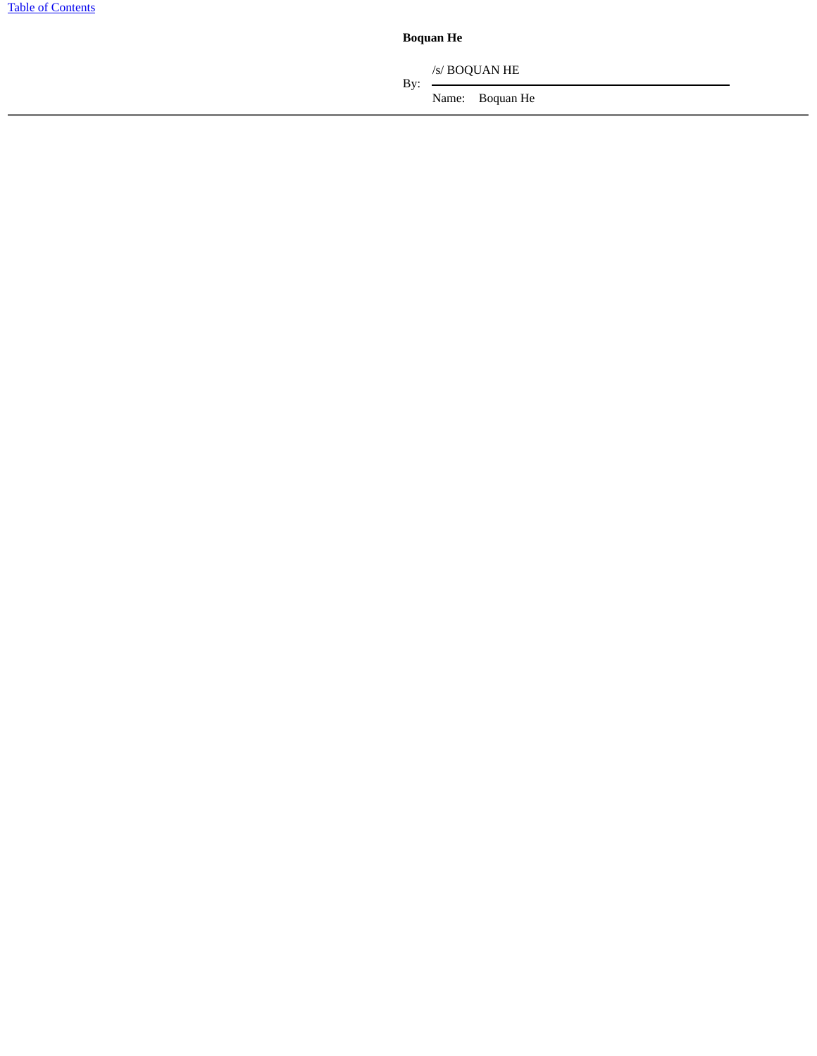**Boquan He**

By:  $-$ /s/ BOQUAN HE

Name: Boquan He